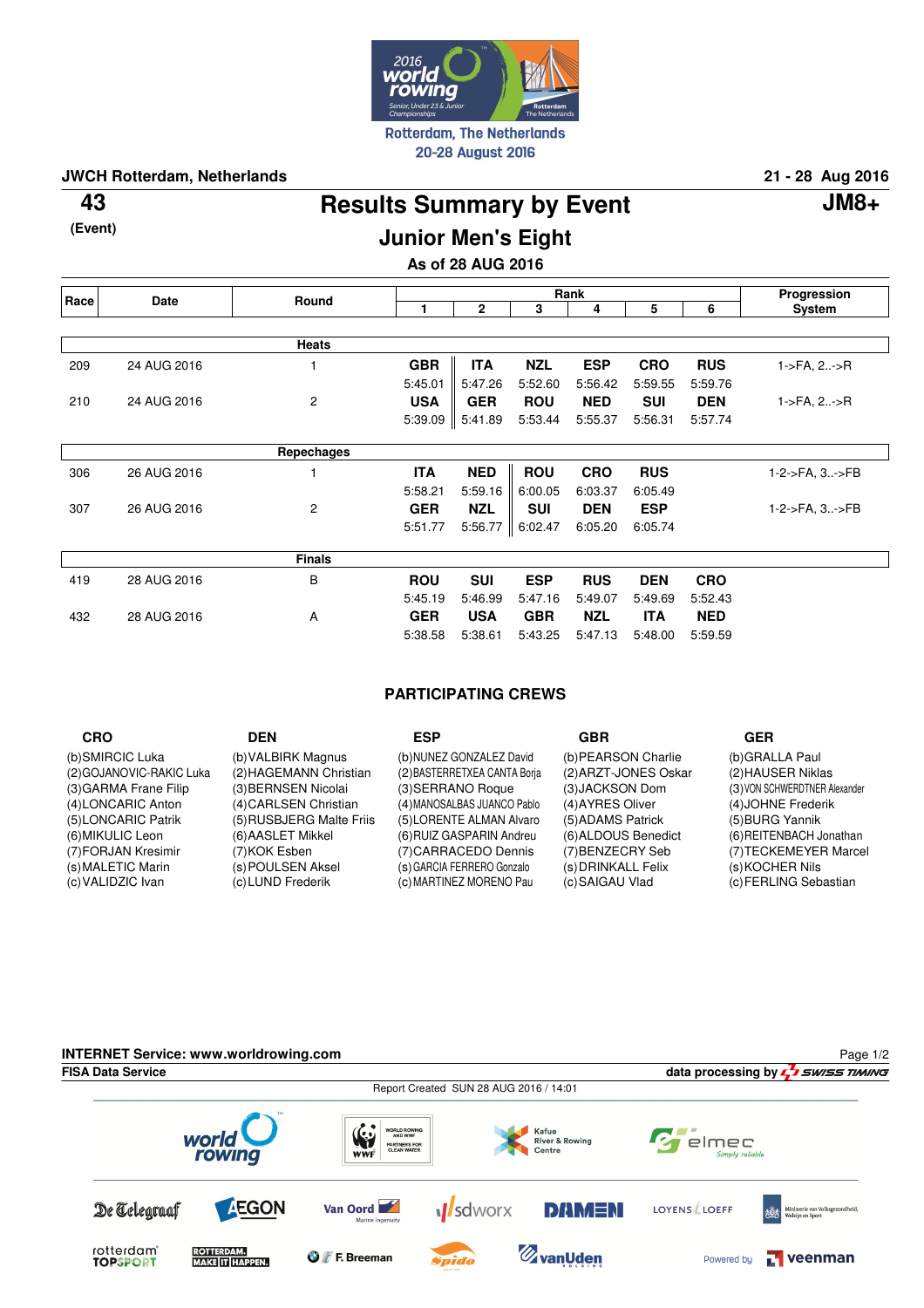

**JWCH Rotterdam, Netherlands 21 - 28 Aug 2016**

**(Event)**

**Results Summary by Event 43 JM8+ Junior Men's Eight**

# **As of 28 AUG 2016**

| Race | <b>Date</b> | Round          | Rank       |              |            |            |            | Progression |                        |
|------|-------------|----------------|------------|--------------|------------|------------|------------|-------------|------------------------|
|      |             |                |            | $\mathbf{2}$ | 3          | 4          | 5          | 6           | System                 |
|      |             |                |            |              |            |            |            |             |                        |
|      |             | Heats          |            |              |            |            |            |             |                        |
| 209  | 24 AUG 2016 |                | <b>GBR</b> | <b>ITA</b>   | <b>NZL</b> | <b>ESP</b> | <b>CRO</b> | <b>RUS</b>  | $1 - > FA$ , $2 - > R$ |
|      |             |                | 5:45.01    | 5:47.26      | 5:52.60    | 5:56.42    | 5:59.55    | 5:59.76     |                        |
| 210  | 24 AUG 2016 | $\overline{c}$ | <b>USA</b> | <b>GER</b>   | <b>ROU</b> | <b>NED</b> | <b>SUI</b> | <b>DEN</b>  | 1->FA, 2->R            |
|      |             |                | 5:39.09    | 5:41.89      | 5:53.44    | 5:55.37    | 5:56.31    | 5:57.74     |                        |
|      |             |                |            |              |            |            |            |             |                        |
|      |             | Repechages     |            |              |            |            |            |             |                        |
| 306  | 26 AUG 2016 |                | <b>ITA</b> | <b>NED</b>   | <b>ROU</b> | <b>CRO</b> | <b>RUS</b> |             | 1-2->FA, 3->FB         |
|      |             |                | 5:58.21    | 5:59.16      | 6:00.05    | 6:03.37    | 6:05.49    |             |                        |
| 307  | 26 AUG 2016 | $\overline{c}$ | <b>GER</b> | <b>NZL</b>   | <b>SUI</b> | <b>DEN</b> | <b>ESP</b> |             | 1-2->FA, 3->FB         |
|      |             |                | 5:51.77    | 5:56.77      | 6:02.47    | 6:05.20    | 6:05.74    |             |                        |
|      |             | <b>Finals</b>  |            |              |            |            |            |             |                        |
| 419  | 28 AUG 2016 | B              | <b>ROU</b> | <b>SUI</b>   | <b>ESP</b> | <b>RUS</b> | <b>DEN</b> | <b>CRO</b>  |                        |
|      |             |                | 5:45.19    | 5:46.99      | 5:47.16    | 5:49.07    | 5:49.69    | 5:52.43     |                        |
| 432  | 28 AUG 2016 | A              | <b>GER</b> | <b>USA</b>   | <b>GBR</b> | <b>NZL</b> | <b>ITA</b> | <b>NED</b>  |                        |
|      |             |                | 5:38.58    | 5:38.61      | 5:43.25    | 5:47.13    | 5:48.00    | 5:59.59     |                        |

## **PARTICIPATING CREWS**

| <b>CRO</b>               | <b>DEN</b>               | ESP                          | <b>GBR</b>           | <b>GER</b>                    |
|--------------------------|--------------------------|------------------------------|----------------------|-------------------------------|
| (b)SMIRCIC Luka          | (b) VALBIRK Magnus       | (b)NUNEZ GONZALEZ David      | (b) PEARSON Charlie  | (b)GRALLA Paul                |
| (2) GOJANOVIC-RAKIC Luka | (2) HAGEMANN Christian   | (2) BASTERRETXEA CANTA Boria | (2) ARZT-JONES Oskar | (2) HAUSER Niklas             |
| (3) GARMA Frane Filip    | (3) BERNSEN Nicolai      | (3) SERRANO Roque            | (3) JACKSON Dom      | (3) VON SCHWERDTNER Alexander |
| (4)LONCARIC Anton        | (4) CARLSEN Christian    | (4) MANOSALBAS JUANCO Pablo  | (4) AYRES Oliver     | (4) JOHNE Frederik            |
| (5)LONCARIC Patrik       | (5) RUSBJERG Malte Friis | (5) LORENTE ALMAN Alvaro     | (5) ADAMS Patrick    | (5) BURG Yannik               |
| (6) MIKULIC Leon         | (6) AASLET Mikkel        | (6) RUIZ GASPARIN Andreu     | (6) ALDOUS Benedict  | (6) REITENBACH Jonathan       |
| (7) FORJAN Kresimir      | (7)KOK Esben             | (7) CARRACEDO Dennis         | (7) BENZECRY Seb     | (7) TECKEMEYER Marcel         |
| (s) MALETIC Marin        | (s) POULSEN Aksel        | (s) GARCIA FERRERO Gonzalo   | (s) DRINKALL Felix   | (s) KOCHER Nils               |
| (c) VALIDZIC Ivan        | (c) LUND Frederik        | (c) MARTINEZ MORENO Pau      | (c) SAIGAU Vlad      | (c) FERLING Sebastian         |

**INTERNET Service: www.worldrowing.com** Page 1/2**FISA Data Service data processing by**  $\frac{1}{2}$  **SWISS TIMING** Report Created SUN 28 AUG 2016 / 14:01  $\begin{matrix} \begin{smallmatrix} 0 \\ \vdots \\ \mathsf{WWF} \end{smallmatrix} \end{matrix}$ **WORLD ROWING**<br>AND WWF Kafue<br>River & Rowing<br>Centre  $Z$  elmec world **PARTNERS FOR**<br>CLEAN WATER Simply reliable rowing **M**sdworx **AEGON** Van Oord De Telegraaf **DAMEN LOYENS** LOEFF ie van Volks<br>-- Creet nuity<br>nuity rotterdam<sup>\*</sup><br>TOPSPORT **ZvanUden** ROTTERDAM.<br>MAKE IT HAPPEN. **O** *F*. Breeman  $\Gamma$  veenman Powered by